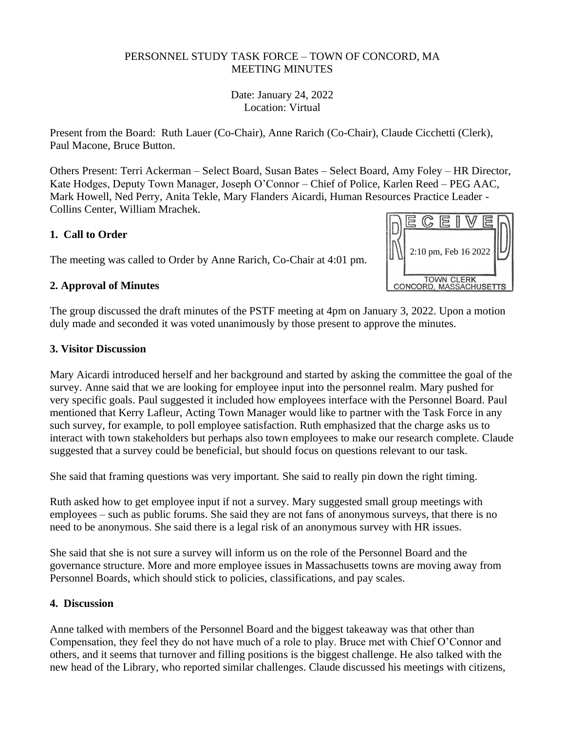### PERSONNEL STUDY TASK FORCE – TOWN OF CONCORD, MA MEETING MINUTES

Date: January 24, 2022 Location: Virtual

Present from the Board: Ruth Lauer (Co-Chair), Anne Rarich (Co-Chair), Claude Cicchetti (Clerk), Paul Macone, Bruce Button.

Others Present: Terri Ackerman – Select Board, Susan Bates – Select Board, Amy Foley – HR Director, Kate Hodges, Deputy Town Manager, Joseph O'Connor – Chief of Police, Karlen Reed – PEG AAC, Mark Howell, Ned Perry, Anita Tekle, Mary Flanders Aicardi, Human Resources Practice Leader - Collins Center, William Mrachek.

## **1. Call to Order**

The meeting was called to Order by Anne Rarich, Co-Chair at 4:01 pm.

### **2. Approval of Minutes**

2:10 pm, Feb 16 2022**TOWN CLERK** ACHUSETTS

The group discussed the draft minutes of the PSTF meeting at 4pm on January 3, 2022. Upon a motion duly made and seconded it was voted unanimously by those present to approve the minutes.

#### **3. Visitor Discussion**

Mary Aicardi introduced herself and her background and started by asking the committee the goal of the survey. Anne said that we are looking for employee input into the personnel realm. Mary pushed for very specific goals. Paul suggested it included how employees interface with the Personnel Board. Paul mentioned that Kerry Lafleur, Acting Town Manager would like to partner with the Task Force in any such survey, for example, to poll employee satisfaction. Ruth emphasized that the charge asks us to interact with town stakeholders but perhaps also town employees to make our research complete. Claude suggested that a survey could be beneficial, but should focus on questions relevant to our task.

She said that framing questions was very important. She said to really pin down the right timing.

Ruth asked how to get employee input if not a survey. Mary suggested small group meetings with employees – such as public forums. She said they are not fans of anonymous surveys, that there is no need to be anonymous. She said there is a legal risk of an anonymous survey with HR issues.

She said that she is not sure a survey will inform us on the role of the Personnel Board and the governance structure. More and more employee issues in Massachusetts towns are moving away from Personnel Boards, which should stick to policies, classifications, and pay scales.

#### **4. Discussion**

Anne talked with members of the Personnel Board and the biggest takeaway was that other than Compensation, they feel they do not have much of a role to play. Bruce met with Chief O'Connor and others, and it seems that turnover and filling positions is the biggest challenge. He also talked with the new head of the Library, who reported similar challenges. Claude discussed his meetings with citizens,